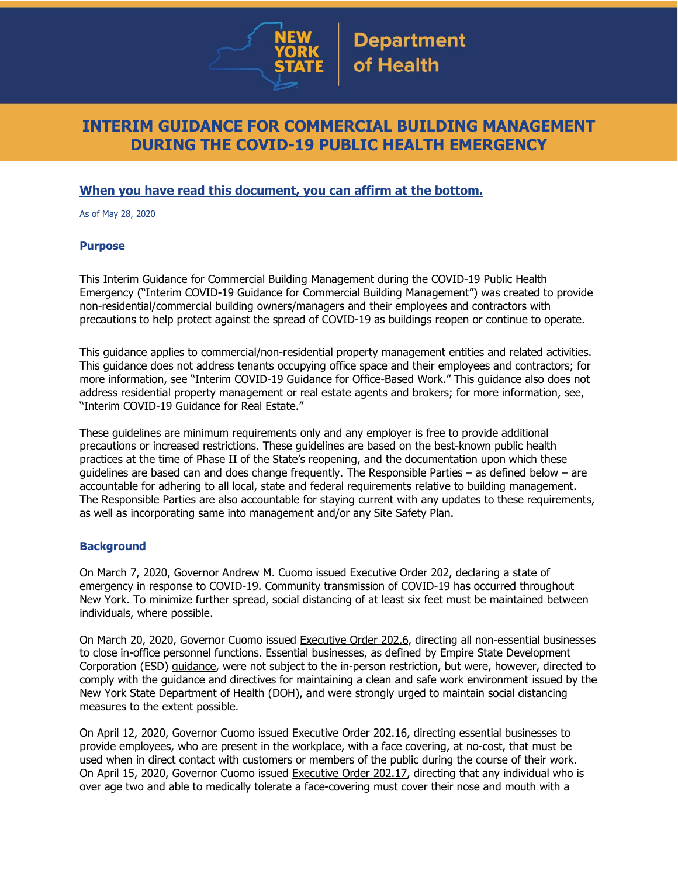

## **INTERIM GUIDANCE FOR COMMERCIAL BUILDING MANAGEMENT DURING THE COVID-19 PUBLIC HEALTH EMERGENCY**

## **When you have read this document, you can affirm at the bottom.**

As of May 28, 2020

## **Purpose**

This Interim Guidance for Commercial Building Management during the COVID-19 Public Health Emergency ("Interim COVID-19 Guidance for Commercial Building Management") was created to provide non-residential/commercial building owners/managers and their employees and contractors with precautions to help protect against the spread of COVID-19 as buildings reopen or continue to operate.

This guidance applies to commercial/non-residential property management entities and related activities. This guidance does not address tenants occupying office space and their employees and contractors; for more information, see "Interim COVID-19 Guidance for Office-Based Work." This guidance also does not address residential property management or real estate agents and brokers; for more information, see, "Interim COVID-19 Guidance for Real Estate."

These guidelines are minimum requirements only and any employer is free to provide additional precautions or increased restrictions. These guidelines are based on the best-known public health practices at the time of Phase II of the State's reopening, and the documentation upon which these guidelines are based can and does change frequently. The Responsible Parties – as defined below – are accountable for adhering to all local, state and federal requirements relative to building management. The Responsible Parties are also accountable for staying current with any updates to these requirements, as well as incorporating same into management and/or any Site Safety Plan.

## **Background**

On March 7, 2020, Governor Andrew M. Cuomo issued [Executive](https://www.governor.ny.gov/news/no-202-declaring-disaster-emergency-state-new-york) Order 202, declaring a state of emergency in response to COVID-19. Community transmission of COVID-19 has occurred throughout New York. To minimize further spread, social distancing of at least six feet must be maintained between individuals, where possible.

On March 20, 2020, Governor Cuomo issued [Executive](https://www.governor.ny.gov/news/no-2026-continuing-temporary-suspension-and-modification-laws-relating-disaster-emergency) Order 202.6, directing all non-essential businesses to close in-office personnel functions. Essential businesses, as defined by Empire State Development Corporation (ESD) [guidance,](https://esd.ny.gov/guidance-executive-order-2026) were not subject to the in-person restriction, but were, however, directed to comply with the guidance and directives for maintaining a clean and safe work environment issued by the New York State Department of Health (DOH), and were strongly urged to maintain social distancing measures to the extent possible.

On April 12, 2020, Governor Cuomo issued [Executive](https://www.governor.ny.gov/news/no-20216-continuing-temporary-suspension-and-modification-laws-relating-disaster-emergency) Order 202.16, directing essential businesses to provide employees, who are present in the workplace, with a face covering, at no-cost, that must be used when in direct contact with customers or members of the public during the course of their work. On April 15, 2020, Governor Cuomo issued [Executive](https://www.governor.ny.gov/news/no-20217-continuing-temporary-suspension-and-modification-laws-relating-disaster-emergency) Order 202.17, directing that any individual who is over age two and able to medically tolerate a face-covering must cover their nose and mouth with a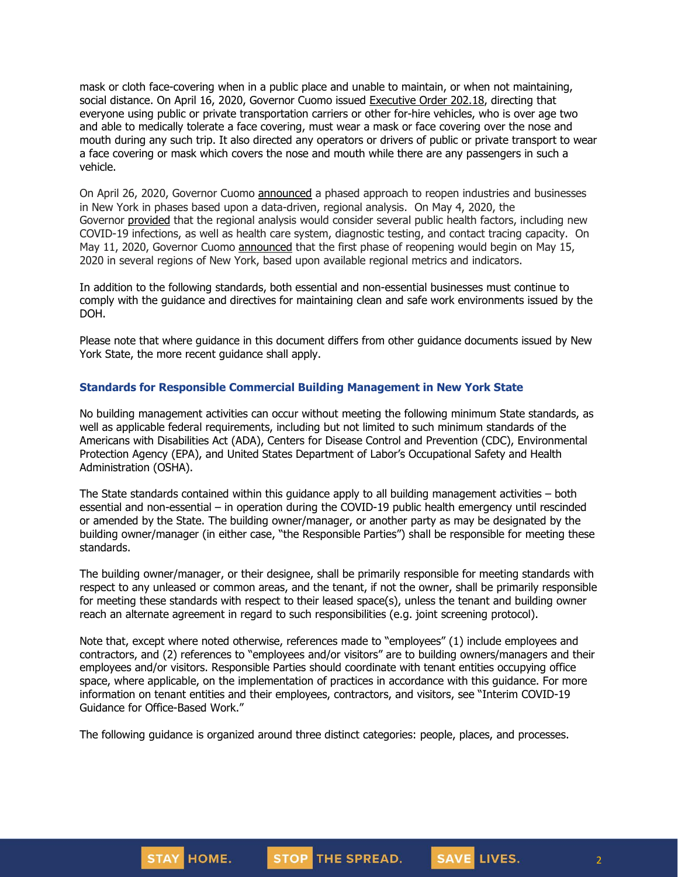mask or cloth face-covering when in a public place and unable to maintain, or when not maintaining, social distance. On April 16, 2020, Governor Cuomo issued [Executive](https://www.governor.ny.gov/news/no-20218-continuing-temporary-suspension-and-modification-laws-relating-disaster-emergency) Order 202.18, directing that everyone using public or private transportation carriers or other for-hire vehicles, who is over age two and able to medically tolerate a face covering, must wear a mask or face covering over the nose and mouth during any such trip. It also directed any operators or drivers of public or private transport to wear a face covering or mask which covers the nose and mouth while there are any passengers in such a vehicle.

On April 26, 2020, Governor Cuomo [announced](https://www.governor.ny.gov/news/amid-ongoing-covid-19-pandemic-governor-cuomo-outlines-phased-plan-re-open-new-york-starting) a phased approach to reopen industries and businesses in New York in phases based upon a data-driven, regional analysis. On May 4, 2020, the Governor [provided](https://www.governor.ny.gov/news/amid-ongoing-covid-19-pandemic-governor-cuomo-outlines-additional-guidelines-when-regions-can) that the regional analysis would consider several public health factors, including new COVID-19 infections, as well as health care system, diagnostic testing, and contact tracing capacity. On May 11, 2020, Governor Cuomo [announced](https://www.governor.ny.gov/news/amid-ongoing-covid-19-pandemic-governor-cuomo-announces-three-regions-new-york-state-ready) that the first phase of reopening would begin on May 15, 2020 in several regions of New York, based upon available regional metrics and indicators.

In addition to the following standards, both essential and non-essential businesses must continue to comply with the guidance and directives for maintaining clean and safe work environments issued by the DOH.

Please note that where guidance in this document differs from other guidance documents issued by New York State, the more recent guidance shall apply.

#### **Standards for Responsible Commercial Building Management in New York State**

No building management activities can occur without meeting the following minimum State standards, as well as applicable federal requirements, including but not limited to such minimum standards of the Americans with Disabilities Act (ADA), Centers for Disease Control and Prevention (CDC), Environmental Protection Agency (EPA), and United States Department of Labor's Occupational Safety and Health Administration (OSHA).

The State standards contained within this guidance apply to all building management activities – both essential and non-essential – in operation during the COVID-19 public health emergency until rescinded or amended by the State. The building owner/manager, or another party as may be designated by the building owner/manager (in either case, "the Responsible Parties") shall be responsible for meeting these standards.

The building owner/manager, or their designee, shall be primarily responsible for meeting standards with respect to any unleased or common areas, and the tenant, if not the owner, shall be primarily responsible for meeting these standards with respect to their leased space(s), unless the tenant and building owner reach an alternate agreement in regard to such responsibilities (e.g. joint screening protocol).

Note that, except where noted otherwise, references made to "employees" (1) include employees and contractors, and (2) references to "employees and/or visitors" are to building owners/managers and their employees and/or visitors. Responsible Parties should coordinate with tenant entities occupying office space, where applicable, on the implementation of practices in accordance with this guidance. For more information on tenant entities and their employees, contractors, and visitors, see "Interim COVID-19 Guidance for Office-Based Work."

The following guidance is organized around three distinct categories: people, places, and processes.

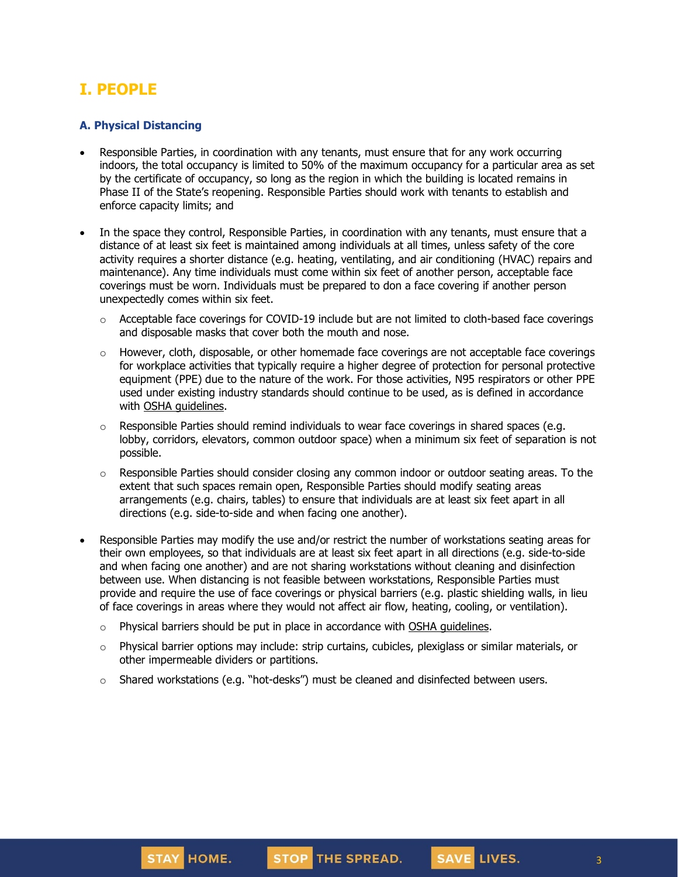# **I. PEOPLE**

#### **A. Physical Distancing**

- Responsible Parties, in coordination with any tenants, must ensure that for any work occurring indoors, the total occupancy is limited to 50% of the maximum occupancy for a particular area as set by the certificate of occupancy, so long as the region in which the building is located remains in Phase II of the State's reopening. Responsible Parties should work with tenants to establish and enforce capacity limits; and
- In the space they control, Responsible Parties, in coordination with any tenants, must ensure that a distance of at least six feet is maintained among individuals at all times, unless safety of the core activity requires a shorter distance (e.g. heating, ventilating, and air conditioning (HVAC) repairs and maintenance). Any time individuals must come within six feet of another person, acceptable face coverings must be worn. Individuals must be prepared to don a face covering if another person unexpectedly comes within six feet.
	- $\circ$  Acceptable face coverings for COVID-19 include but are not limited to cloth-based face coverings and disposable masks that cover both the mouth and nose.
	- $\circ$  However, cloth, disposable, or other homemade face coverings are not acceptable face coverings for workplace activities that typically require a higher degree of protection for personal protective equipment (PPE) due to the nature of the work. For those activities, N95 respirators or other PPE used under existing industry standards should continue to be used, as is defined in accordance with OSHA [guidelines.](https://www.osha.gov/SLTC/personalprotectiveequipment/)
	- $\circ$  Responsible Parties should remind individuals to wear face coverings in shared spaces (e.g. lobby, corridors, elevators, common outdoor space) when a minimum six feet of separation is not possible.
	- $\circ$  Responsible Parties should consider closing any common indoor or outdoor seating areas. To the extent that such spaces remain open, Responsible Parties should modify seating areas arrangements (e.g. chairs, tables) to ensure that individuals are at least six feet apart in all directions (e.g. side-to-side and when facing one another).
- Responsible Parties may modify the use and/or restrict the number of workstations seating areas for their own employees, so that individuals are at least six feet apart in all directions (e.g. side-to-side and when facing one another) and are not sharing workstations without cleaning and disinfection between use. When distancing is not feasible between workstations, Responsible Parties must provide and require the use of face coverings or physical barriers (e.g. plastic shielding walls, in lieu of face coverings in areas where they would not affect air flow, heating, cooling, or ventilation).
	- $\circ$  Physical barriers should be put in place in accordance with OSHA [guidelines.](https://www.osha.gov/Publications/OSHA3990.pdf)
	- $\circ$  Physical barrier options may include: strip curtains, cubicles, plexiglass or similar materials, or other impermeable dividers or partitions.
	- $\circ$  Shared workstations (e.g. "hot-desks") must be cleaned and disinfected between users.

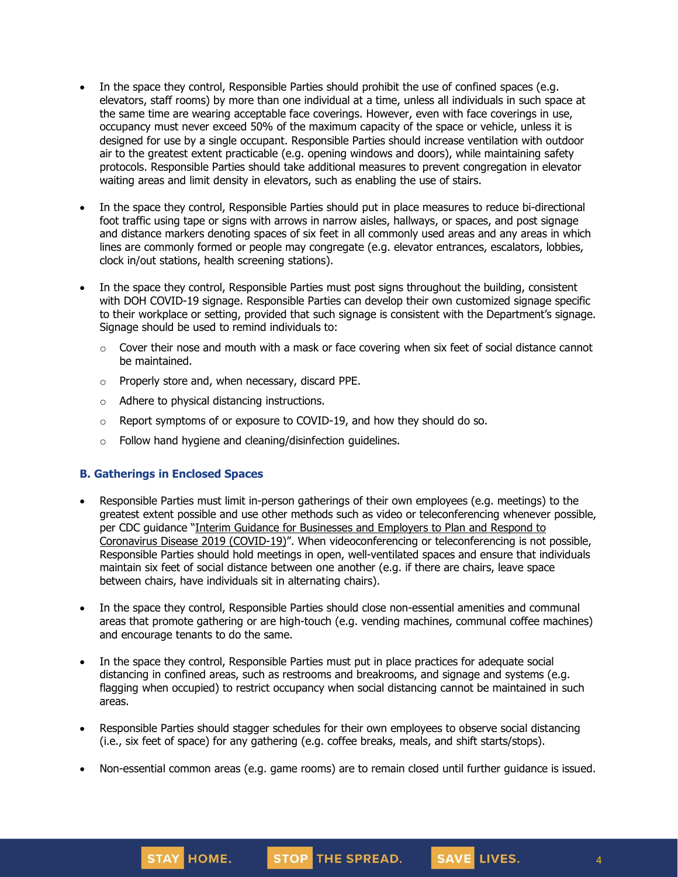- In the space they control, Responsible Parties should prohibit the use of confined spaces (e.g. elevators, staff rooms) by more than one individual at a time, unless all individuals in such space at the same time are wearing acceptable face coverings. However, even with face coverings in use, occupancy must never exceed 50% of the maximum capacity of the space or vehicle, unless it is designed for use by a single occupant. Responsible Parties should increase ventilation with outdoor air to the greatest extent practicable (e.g. opening windows and doors), while maintaining safety protocols. Responsible Parties should take additional measures to prevent congregation in elevator waiting areas and limit density in elevators, such as enabling the use of stairs.
- In the space they control, Responsible Parties should put in place measures to reduce bi-directional foot traffic using tape or signs with arrows in narrow aisles, hallways, or spaces, and post signage and distance markers denoting spaces of six feet in all commonly used areas and any areas in which lines are commonly formed or people may congregate (e.g. elevator entrances, escalators, lobbies, clock in/out stations, health screening stations).
- In the space they control, Responsible Parties must post signs throughout the building, consistent with DOH COVID-19 signage. Responsible Parties can develop their own customized signage specific to their workplace or setting, provided that such signage is consistent with the Department's signage. Signage should be used to remind individuals to:
	- $\circ$  Cover their nose and mouth with a mask or face covering when six feet of social distance cannot be maintained.
	- o Properly store and, when necessary, discard PPE.
	- o Adhere to physical distancing instructions.
	- $\circ$  Report symptoms of or exposure to COVID-19, and how they should do so.
	- o Follow hand hygiene and cleaning/disinfection guidelines.

## **B. Gatherings in Enclosed Spaces**

- Responsible Parties must limit in-person gatherings of their own employees (e.g. meetings) to the greatest extent possible and use other methods such as video or teleconferencing whenever possible, per CDC guidance "Interim Guidance for [Businesses](https://www.cdc.gov/coronavirus/2019-ncov/community/guidance-business-response.html) and Employers to Plan and Respond to [Coronavirus](https://www.cdc.gov/coronavirus/2019-ncov/community/guidance-business-response.html) Disease 2019 (COVID-19)". When videoconferencing or teleconferencing is not possible, Responsible Parties should hold meetings in open, well-ventilated spaces and ensure that individuals maintain six feet of social distance between one another (e.g. if there are chairs, leave space between chairs, have individuals sit in alternating chairs).
- In the space they control, Responsible Parties should close non-essential amenities and communal areas that promote gathering or are high-touch (e.g. vending machines, communal coffee machines) and encourage tenants to do the same.
- In the space they control, Responsible Parties must put in place practices for adequate social distancing in confined areas, such as restrooms and breakrooms, and signage and systems (e.g. flagging when occupied) to restrict occupancy when social distancing cannot be maintained in such areas.
- Responsible Parties should stagger schedules for their own employees to observe social distancing (i.e., six feet of space) for any gathering (e.g. coffee breaks, meals, and shift starts/stops).
- Non-essential common areas (e.g. game rooms) are to remain closed until further guidance is issued.

4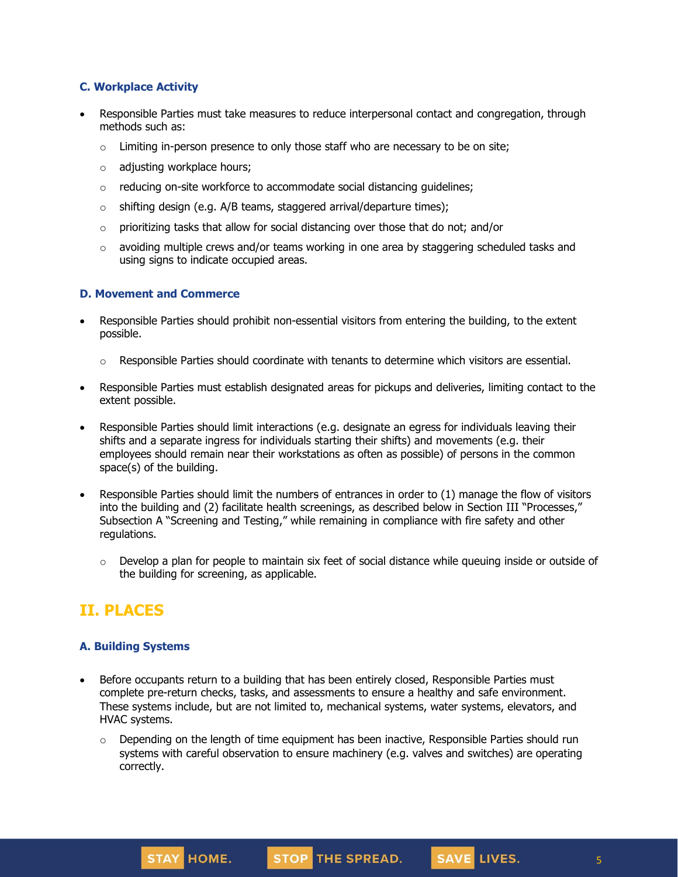## **C. Workplace Activity**

- Responsible Parties must take measures to reduce interpersonal contact and congregation, through methods such as:
	- $\circ$  Limiting in-person presence to only those staff who are necessary to be on site;
	- o adjusting workplace hours;
	- o reducing on-site workforce to accommodate social distancing guidelines;
	- $\circ$  shifting design (e.g. A/B teams, staggered arrival/departure times);
	- $\circ$  prioritizing tasks that allow for social distancing over those that do not; and/or
	- $\circ$  avoiding multiple crews and/or teams working in one area by staggering scheduled tasks and using signs to indicate occupied areas.

#### **D. Movement and Commerce**

- Responsible Parties should prohibit non-essential visitors from entering the building, to the extent possible.
	- o Responsible Parties should coordinate with tenants to determine which visitors are essential.
- Responsible Parties must establish designated areas for pickups and deliveries, limiting contact to the extent possible.
- Responsible Parties should limit interactions (e.g. designate an egress for individuals leaving their shifts and a separate ingress for individuals starting their shifts) and movements (e.g. their employees should remain near their workstations as often as possible) of persons in the common space(s) of the building.
- Responsible Parties should limit the numbers of entrances in order to (1) manage the flow of visitors into the building and (2) facilitate health screenings, as described below in Section III "Processes," Subsection A "Screening and Testing," while remaining in compliance with fire safety and other regulations.
	- $\circ$  Develop a plan for people to maintain six feet of social distance while queuing inside or outside of the building for screening, as applicable.

## **II. PLACES**

#### **A. Building Systems**

- Before occupants return to a building that has been entirely closed, Responsible Parties must complete pre-return checks, tasks, and assessments to ensure a healthy and safe environment. These systems include, but are not limited to, mechanical systems, water systems, elevators, and HVAC systems.
	- $\circ$  Depending on the length of time equipment has been inactive, Responsible Parties should run systems with careful observation to ensure machinery (e.g. valves and switches) are operating correctly.

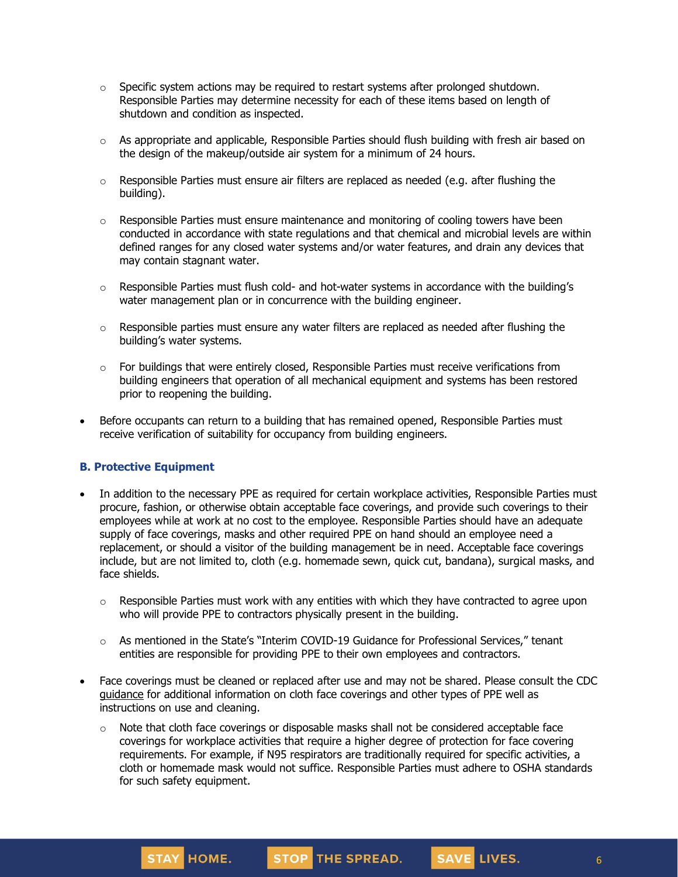- $\circ$  Specific system actions may be required to restart systems after prolonged shutdown. Responsible Parties may determine necessity for each of these items based on length of shutdown and condition as inspected.
- $\circ$  As appropriate and applicable, Responsible Parties should flush building with fresh air based on the design of the makeup/outside air system for a minimum of 24 hours.
- $\circ$  Responsible Parties must ensure air filters are replaced as needed (e.g. after flushing the building).
- $\circ$  Responsible Parties must ensure maintenance and monitoring of cooling towers have been conducted in accordance with state regulations and that chemical and microbial levels are within defined ranges for any closed water systems and/or water features, and drain any devices that may contain stagnant water.
- $\circ$  Responsible Parties must flush cold- and hot-water systems in accordance with the building's water management plan or in concurrence with the building engineer.
- $\circ$  Responsible parties must ensure any water filters are replaced as needed after flushing the building's water systems.
- $\circ$  For buildings that were entirely closed, Responsible Parties must receive verifications from building engineers that operation of all mechanical equipment and systems has been restored prior to reopening the building.
- Before occupants can return to a building that has remained opened, Responsible Parties must receive verification of suitability for occupancy from building engineers.

#### **B. Protective Equipment**

STAY HOME.

- In addition to the necessary PPE as required for certain workplace activities, Responsible Parties must procure, fashion, or otherwise obtain acceptable face coverings, and provide such coverings to their employees while at work at no cost to the employee. Responsible Parties should have an adequate supply of face coverings, masks and other required PPE on hand should an employee need a replacement, or should a visitor of the building management be in need. Acceptable face coverings include, but are not limited to, cloth (e.g. homemade sewn, quick cut, bandana), surgical masks, and face shields.
	- $\circ$  Responsible Parties must work with any entities with which they have contracted to agree upon who will provide PPE to contractors physically present in the building.
	- $\circ$  As mentioned in the State's "Interim COVID-19 Guidance for Professional Services," tenant entities are responsible for providing PPE to their own employees and contractors.
- Face coverings must be cleaned or replaced after use and may not be shared. Please consult the CDC [guidance](https://www.cdc.gov/coronavirus/2019-ncov/community/guidance-business-response.html) for additional information on cloth face coverings and other types of PPE well as instructions on use and cleaning.
	- $\circ$  Note that cloth face coverings or disposable masks shall not be considered acceptable face coverings for workplace activities that require a higher degree of protection for face covering requirements. For example, if N95 respirators are traditionally required for specific activities, a cloth or homemade mask would not suffice. Responsible Parties must adhere to OSHA standards for such safety equipment.

STOP THE SPREAD.

6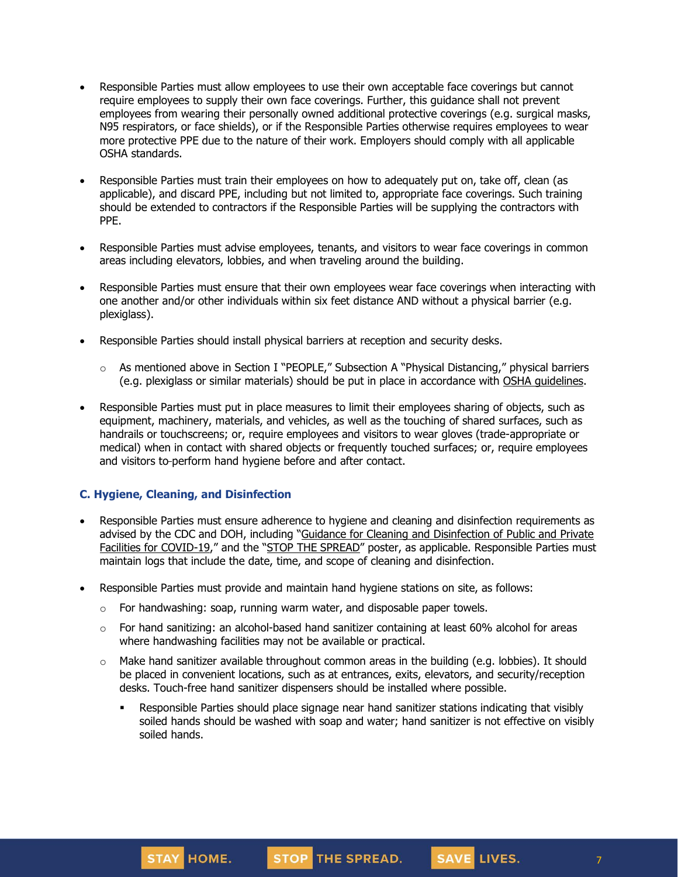- Responsible Parties must allow employees to use their own acceptable face coverings but cannot require employees to supply their own face coverings. Further, this guidance shall not prevent employees from wearing their personally owned additional protective coverings (e.g. surgical masks, N95 respirators, or face shields), or if the Responsible Parties otherwise requires employees to wear more protective PPE due to the nature of their work. Employers should comply with all applicable OSHA standards.
- Responsible Parties must train their employees on how to adequately put on, take off, clean (as applicable), and discard PPE, including but not limited to, appropriate face coverings. Such training should be extended to contractors if the Responsible Parties will be supplying the contractors with PPE.
- Responsible Parties must advise employees, tenants, and visitors to wear face coverings in common areas including elevators, lobbies, and when traveling around the building.
- Responsible Parties must ensure that their own employees wear face coverings when interacting with one another and/or other individuals within six feet distance AND without a physical barrier (e.g. plexiglass).
- Responsible Parties should install physical barriers at reception and security desks.
	- $\circ$  As mentioned above in Section I "PEOPLE," Subsection A "Physical Distancing," physical barriers (e.g. plexiglass or similar materials) should be put in place in accordance with OSHA [guidelines.](https://www.osha.gov/Publications/OSHA3990.pdf)
- Responsible Parties must put in place measures to limit their employees sharing of objects, such as equipment, machinery, materials, and vehicles, as well as the touching of shared surfaces, such as handrails or touchscreens; or, require employees and visitors to wear gloves (trade-appropriate or medical) when in contact with shared objects or frequently touched surfaces; or, require employees and visitors to-perform hand hygiene before and after contact.

## **C. Hygiene, Cleaning, and Disinfection**

- Responsible Parties must ensure adherence to hygiene and cleaning and disinfection requirements as advised by the CDC and DOH, including "Guidance for Cleaning and [Disinfection](https://coronavirus.health.ny.gov/system/files/documents/2020/03/cleaning_guidance_general_building.pdf) of Public and Private Facilities for [COVID-19](https://coronavirus.health.ny.gov/system/files/documents/2020/03/cleaning_guidance_general_building.pdf)," and the "STOP THE [SPREAD](https://coronavirus.health.ny.gov/system/files/documents/2020/04/13067_coronavirus_protectyourself_poster_042020.pdf)" poster, as applicable. Responsible Parties must maintain logs that include the date, time, and scope of cleaning and disinfection.
- Responsible Parties must provide and maintain hand hygiene stations on site, as follows:
	- $\circ$  For handwashing: soap, running warm water, and disposable paper towels.
	- $\circ$  For hand sanitizing: an alcohol-based hand sanitizer containing at least 60% alcohol for areas where handwashing facilities may not be available or practical.
	- $\circ$  Make hand sanitizer available throughout common areas in the building (e.g. lobbies). It should be placed in convenient locations, such as at entrances, exits, elevators, and security/reception desks. Touch-free hand sanitizer dispensers should be installed where possible.
		- **•** Responsible Parties should place signage near hand sanitizer stations indicating that visibly soiled hands should be washed with soap and water; hand sanitizer is not effective on visibly soiled hands.

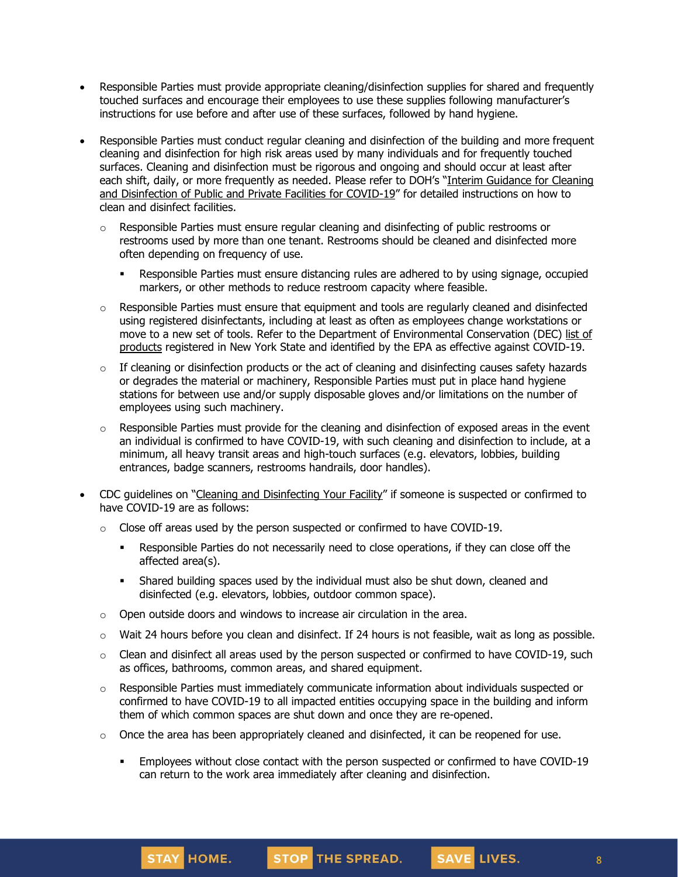- Responsible Parties must provide appropriate cleaning/disinfection supplies for shared and frequently touched surfaces and encourage their employees to use these supplies following manufacturer's instructions for use before and after use of these surfaces, followed by hand hygiene.
- Responsible Parties must conduct regular cleaning and disinfection of the building and more frequent cleaning and disinfection for high risk areas used by many individuals and for frequently touched surfaces. Cleaning and disinfection must be rigorous and ongoing and should occur at least after each shift, daily, or more frequently as needed. Please refer to DOH's "Interim [Guidance](https://coronavirus.health.ny.gov/system/files/documents/2020/03/cleaning_guidance_general_building.pdf) for Cleaning and [Disinfection](https://coronavirus.health.ny.gov/system/files/documents/2020/03/cleaning_guidance_general_building.pdf) of Public and Private Facilities for COVID-19" for detailed instructions on how to clean and disinfect facilities.
	- $\circ$  Responsible Parties must ensure regular cleaning and disinfecting of public restrooms or restrooms used by more than one tenant. Restrooms should be cleaned and disinfected more often depending on frequency of use.
		- **Responsible Parties must ensure distancing rules are adhered to by using signage, occupied** markers, or other methods to reduce restroom capacity where feasible.
	- $\circ$  Responsible Parties must ensure that equipment and tools are regularly cleaned and disinfected using registered disinfectants, including at least as often as employees change workstations or move to a new set of tools. Refer to the Department of Environmental Conservation (DEC) [list](http://www.dec.ny.gov/docs/materials_minerals_pdf/covid19.pdf) of [products](http://www.dec.ny.gov/docs/materials_minerals_pdf/covid19.pdf) registered in New York State and identified by the EPA as effective against COVID-19.
	- $\circ$  If cleaning or disinfection products or the act of cleaning and disinfecting causes safety hazards or degrades the material or machinery, Responsible Parties must put in place hand hygiene stations for between use and/or supply disposable gloves and/or limitations on the number of employees using such machinery.
	- $\circ$  Responsible Parties must provide for the cleaning and disinfection of exposed areas in the event an individual is confirmed to have COVID-19, with such cleaning and disinfection to include, at a minimum, all heavy transit areas and high-touch surfaces (e.g. elevators, lobbies, building entrances, badge scanners, restrooms handrails, door handles).
- CDC guidelines on "Cleaning and [Disinfecting](https://www.cdc.gov/coronavirus/2019-ncov/community/disinfecting-building-facility.html) Your Facility" if someone is suspected or confirmed to have COVID-19 are as follows:
	- $\circ$  Close off areas used by the person suspected or confirmed to have COVID-19.
		- Responsible Parties do not necessarily need to close operations, if they can close off the affected area(s).
		- **•** Shared building spaces used by the individual must also be shut down, cleaned and disinfected (e.g. elevators, lobbies, outdoor common space).
	- o Open outside doors and windows to increase air circulation in the area.

STAY HOME.

- $\circ$  Wait 24 hours before you clean and disinfect. If 24 hours is not feasible, wait as long as possible.
- $\circ$  Clean and disinfect all areas used by the person suspected or confirmed to have COVID-19, such as offices, bathrooms, common areas, and shared equipment.
- o Responsible Parties must immediately communicate information about individuals suspected or confirmed to have COVID-19 to all impacted entities occupying space in the building and inform them of which common spaces are shut down and once they are re-opened.
- $\circ$  Once the area has been appropriately cleaned and disinfected, it can be reopened for use.
	- **•** Employees without close contact with the person suspected or confirmed to have COVID-19 can return to the work area immediately after cleaning and disinfection.

STOP THE SPREAD.

8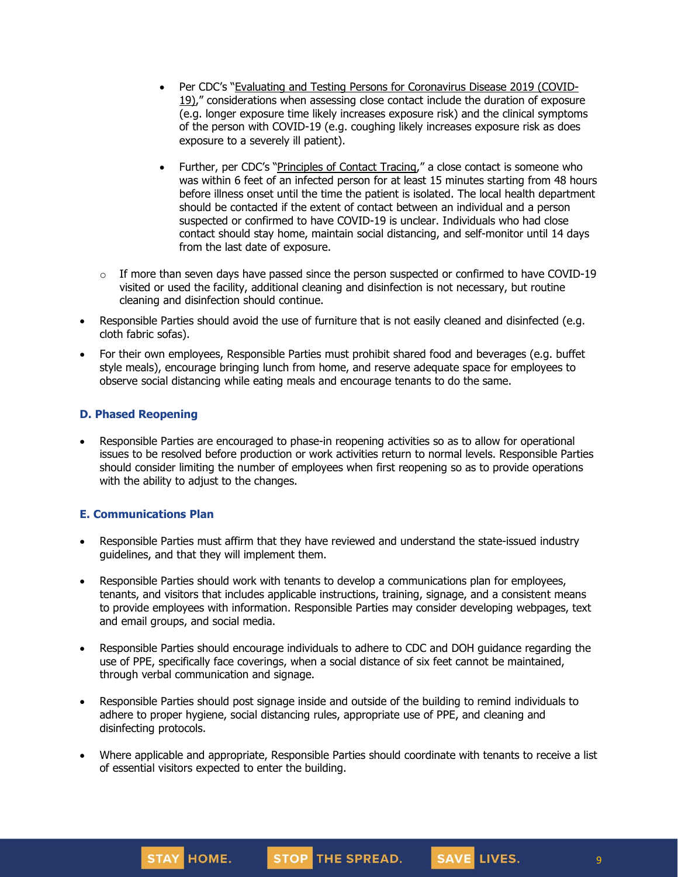- Per CDC's "Evaluating and Testing Persons for [Coronavirus](https://www.cdc.gov/coronavirus/2019-ncov/hcp/clinical-criteria.html) Disease 2019 (COVID-[19\)](https://www.cdc.gov/coronavirus/2019-ncov/hcp/clinical-criteria.html)," considerations when assessing close contact include the duration of exposure (e.g. longer exposure time likely increases exposure risk) and the clinical symptoms of the person with COVID-19 (e.g. coughing likely increases exposure risk as does exposure to a severely ill patient).
- Further, per CDC's "[Principles](https://www.cdc.gov/coronavirus/2019-ncov/php/principles-contact-tracing.html) of Contact Tracing," a close contact is someone who was within 6 feet of an infected person for at least 15 minutes starting from 48 hours before illness onset until the time the patient is isolated. The local health department should be contacted if the extent of contact between an individual and a person suspected or confirmed to have COVID-19 is unclear. Individuals who had close contact should stay home, maintain social distancing, and self-monitor until 14 days from the last date of exposure.
- $\circ$  If more than seven days have passed since the person suspected or confirmed to have COVID-19 visited or used the facility, additional cleaning and disinfection is not necessary, but routine cleaning and disinfection should continue.
- Responsible Parties should avoid the use of furniture that is not easily cleaned and disinfected (e.g. cloth fabric sofas).
- For their own employees, Responsible Parties must prohibit shared food and beverages (e.g. buffet style meals), encourage bringing lunch from home, and reserve adequate space for employees to observe social distancing while eating meals and encourage tenants to do the same.

## **D. Phased Reopening**

• Responsible Parties are encouraged to phase-in reopening activities so as to allow for operational issues to be resolved before production or work activities return to normal levels. Responsible Parties should consider limiting the number of employees when first reopening so as to provide operations with the ability to adjust to the changes.

## **E. Communications Plan**

- Responsible Parties must affirm that they have reviewed and understand the state-issued industry guidelines, and that they will implement them.
- Responsible Parties should work with tenants to develop a communications plan for employees, tenants, and visitors that includes applicable instructions, training, signage, and a consistent means to provide employees with information. Responsible Parties may consider developing webpages, text and email groups, and social media.
- Responsible Parties should encourage individuals to adhere to CDC and DOH guidance regarding the use of PPE, specifically face coverings, when a social distance of six feet cannot be maintained, through verbal communication and signage.
- Responsible Parties should post signage inside and outside of the building to remind individuals to adhere to proper hygiene, social distancing rules, appropriate use of PPE, and cleaning and disinfecting protocols.
- Where applicable and appropriate, Responsible Parties should coordinate with tenants to receive a list of essential visitors expected to enter the building.

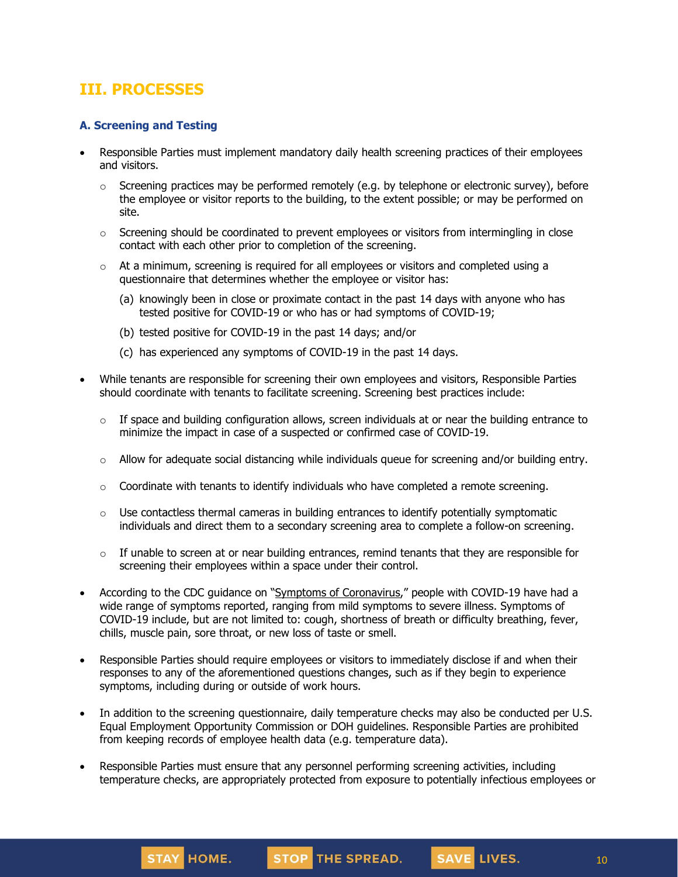## **III. PROCESSES**

## **A. Screening and Testing**

- Responsible Parties must implement mandatory daily health screening practices of their employees and visitors.
	- $\circ$  Screening practices may be performed remotely (e.g. by telephone or electronic survey), before the employee or visitor reports to the building, to the extent possible; or may be performed on site.
	- $\circ$  Screening should be coordinated to prevent employees or visitors from intermingling in close contact with each other prior to completion of the screening.
	- $\circ$  At a minimum, screening is required for all employees or visitors and completed using a questionnaire that determines whether the employee or visitor has:
		- (a) knowingly been in close or proximate contact in the past 14 days with anyone who has tested positive for COVID-19 or who has or had symptoms of COVID-19;
		- (b) tested positive for COVID-19 in the past 14 days; and/or
		- (c) has experienced any symptoms of COVID-19 in the past 14 days.
- While tenants are responsible for screening their own employees and visitors, Responsible Parties should coordinate with tenants to facilitate screening. Screening best practices include:
	- $\circ$  If space and building configuration allows, screen individuals at or near the building entrance to minimize the impact in case of a suspected or confirmed case of COVID-19.
	- $\circ$  Allow for adequate social distancing while individuals queue for screening and/or building entry.
	- $\circ$  Coordinate with tenants to identify individuals who have completed a remote screening.
	- $\circ$  Use contactless thermal cameras in building entrances to identify potentially symptomatic individuals and direct them to a secondary screening area to complete a follow-on screening.
	- $\circ$  If unable to screen at or near building entrances, remind tenants that they are responsible for screening their employees within a space under their control.
- According to the CDC guidance on "Symptoms of [Coronavirus](https://www.cdc.gov/coronavirus/2019-ncov/symptoms-testing/symptoms.html)," people with COVID-19 have had a wide range of symptoms reported, ranging from mild symptoms to severe illness. Symptoms of COVID-19 include, but are not limited to: cough, shortness of breath or difficulty breathing, fever, chills, muscle pain, sore throat, or new loss of taste or smell.
- Responsible Parties should require employees or visitors to immediately disclose if and when their responses to any of the aforementioned questions changes, such as if they begin to experience symptoms, including during or outside of work hours.
- In addition to the screening questionnaire, daily temperature checks may also be conducted per U.S. Equal Employment Opportunity Commission or DOH guidelines. Responsible Parties are prohibited from keeping records of employee health data (e.g. temperature data).
- Responsible Parties must ensure that any personnel performing screening activities, including temperature checks, are appropriately protected from exposure to potentially infectious employees or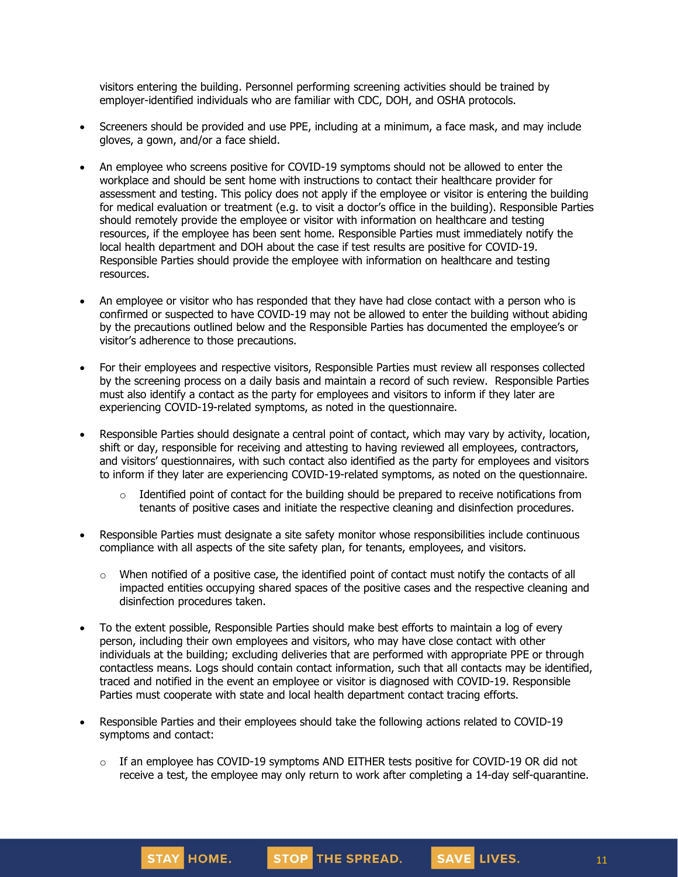visitors entering the building. Personnel performing screening activities should be trained by employer-identified individuals who are familiar with CDC, DOH, and OSHA protocols.

- Screeners should be provided and use PPE, including at a minimum, a face mask, and may include gloves, a gown, and/or a face shield.
- An employee who screens positive for COVID-19 symptoms should not be allowed to enter the workplace and should be sent home with instructions to contact their healthcare provider for assessment and testing. This policy does not apply if the employee or visitor is entering the building for medical evaluation or treatment (e.g. to visit a doctor's office in the building). Responsible Parties should remotely provide the employee or visitor with information on healthcare and testing resources, if the employee has been sent home. Responsible Parties must immediately notify the local health department and DOH about the case if test results are positive for COVID-19. Responsible Parties should provide the employee with information on healthcare and testing resources.
- An employee or visitor who has responded that they have had close contact with a person who is confirmed or suspected to have COVID-19 may not be allowed to enter the building without abiding by the precautions outlined below and the Responsible Parties has documented the employee's or visitor's adherence to those precautions.
- For their employees and respective visitors, Responsible Parties must review all responses collected by the screening process on a daily basis and maintain a record of such review. Responsible Parties must also identify a contact as the party for employees and visitors to inform if they later are experiencing COVID-19-related symptoms, as noted in the questionnaire.
- Responsible Parties should designate a central point of contact, which may vary by activity, location, shift or day, responsible for receiving and attesting to having reviewed all employees, contractors, and visitors' questionnaires, with such contact also identified as the party for employees and visitors to inform if they later are experiencing COVID-19-related symptoms, as noted on the questionnaire.
	- $\circ$  Identified point of contact for the building should be prepared to receive notifications from tenants of positive cases and initiate the respective cleaning and disinfection procedures.
- Responsible Parties must designate a site safety monitor whose responsibilities include continuous compliance with all aspects of the site safety plan, for tenants, employees, and visitors.
	- $\circ$  When notified of a positive case, the identified point of contact must notify the contacts of all impacted entities occupying shared spaces of the positive cases and the respective cleaning and disinfection procedures taken.
- To the extent possible, Responsible Parties should make best efforts to maintain a log of every person, including their own employees and visitors, who may have close contact with other individuals at the building; excluding deliveries that are performed with appropriate PPE or through contactless means. Logs should contain contact information, such that all contacts may be identified, traced and notified in the event an employee or visitor is diagnosed with COVID-19. Responsible Parties must cooperate with state and local health department contact tracing efforts.
- Responsible Parties and their employees should take the following actions related to COVID-19 symptoms and contact:

STAY HOME.

 $\circ$  If an employee has COVID-19 symptoms AND EITHER tests positive for COVID-19 OR did not receive a test, the employee may only [return](https://www.cdc.gov/coronavirus/2019-ncov/hcp/return-to-work.html) to work after completing a 14-day self-quarantine.

STOP THE SPREAD.

SAVE LIVES.

11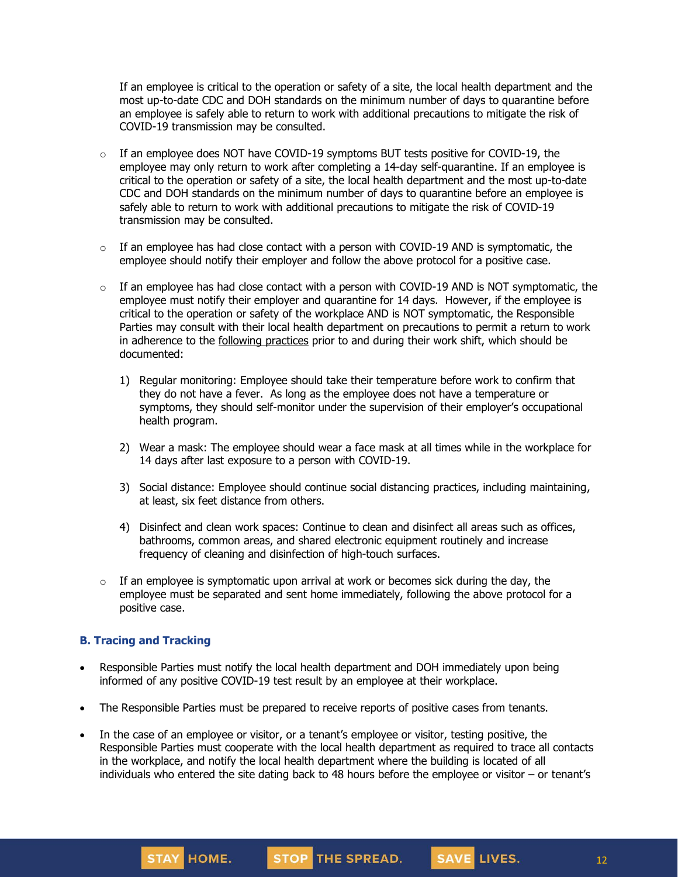If an employee is critical to the operation or safety of a site, the local health department and the most up-to-date CDC and DOH standards on the minimum number of days to quarantine before an employee is safely able to return to work with additional precautions to mitigate the risk of COVID-19 transmission may be consulted.

- $\circ$  If an employee does NOT have COVID-19 symptoms BUT tests positive for COVID-19, the employee may only return to work after completing a 14-day self-quarantine. If an employee is critical to the operation or safety of a site, the local health department and the most up-to-date CDC and DOH standards on the minimum number of days to quarantine before an employee is safely able to return to work with additional precautions to mitigate the risk of COVID-19 transmission may be consulted.
- $\circ$  If an employee has had close contact with a person with COVID-19 AND is symptomatic, the employee should notify their employer and follow the above protocol for a positive case.
- $\circ$  If an employee has had close contact with a person with COVID-19 AND is NOT symptomatic, the employee must notify their employer and quarantine for 14 days. However, if the employee is critical to the operation or safety of the workplace AND is NOT symptomatic, the Responsible Parties may consult with their local health department on precautions to permit a return to work in adherence to the [following](https://www.cdc.gov/coronavirus/2019-ncov/community/critical-workers/implementing-safety-practices.html) practices prior to and during their work shift, which should be documented:
	- 1) Regular monitoring: Employee should take their temperature before work to confirm that they do not have a fever. As long as the employee does not have a temperature or symptoms, they should self-monitor under the supervision of their employer's occupational health program.
	- 2) Wear a mask: The employee should wear a face mask at all times while in the workplace for 14 days after last exposure to a person with COVID-19.
	- 3) Social distance: Employee should continue social distancing practices, including maintaining, at least, six feet distance from others.
	- 4) Disinfect and clean work spaces: Continue to clean and disinfect all areas such as offices, bathrooms, common areas, and shared electronic equipment routinely and increase frequency of cleaning and disinfection of high-touch surfaces.
- $\circ$  If an employee is symptomatic upon arrival at work or becomes sick during the day, the employee must be separated and sent home immediately, following the above protocol for a positive case.

## **B. Tracing and Tracking**

- Responsible Parties must notify the local health department and DOH immediately upon being informed of any positive COVID-19 test result by an employee at their workplace.
- The Responsible Parties must be prepared to receive reports of positive cases from tenants.
- In the case of an employee or visitor, or a tenant's employee or visitor, testing positive, the Responsible Parties must cooperate with the local health department as required to trace all contacts in the workplace, and notify the local health department where the building is located of all individuals who entered the site dating back to 48 hours before the employee or visitor – or tenant's